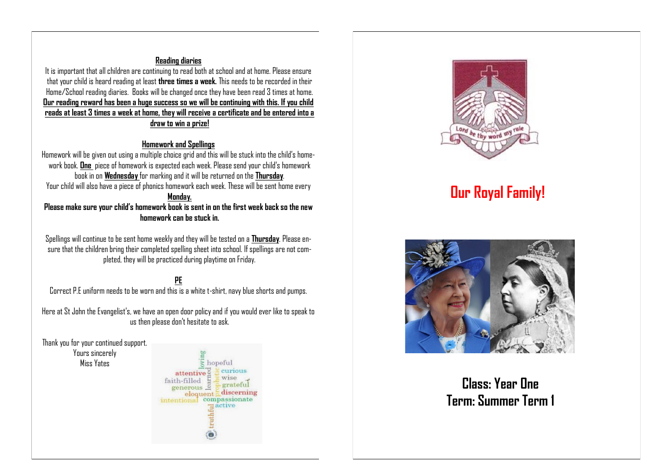#### **Reading diaries**

It is important that all children are continuing to read both at school and at home. Please ensure that your child is heard reading at least **three times a week.** This needs to be recorded in their Home/School reading diaries. Books will be changed once they have been read 3 times at home. **Our reading reward has been a huge success so we will be continuing with this. If you child reads at least 3 times a week at home, they will receive a certificate and be entered into a draw to win a prize!** 

#### **Homework and Spellings**

Homework will be given out using a multiple choice grid and this will be stuck into the child's homework book. **One** piece of homework is expected each week. Please send your child's homework book in on **Wednesday** for marking and it will be returned on the **Thursday**. Your child will also have a piece of phonics homework each week. These will be sent home every

#### **Monday.**

**Please make sure your child's homework book is sent in on the first week back so the new homework can be stuck in.**

Spellings will continue to be sent home weekly and they will be tested on a **Thursday**. Please ensure that the children bring their completed spelling sheet into school. If spellings are not completed, they will be practiced during playtime on Friday.

#### **PE**

Correct P.E uniform needs to be worn and this is a white t-shirt, navy blue shorts and pumps.

Here at St John the Evangelist's, we have an open door policy and if you would ever like to speak to us then please don't hesitate to ask.

Thank you for your continued support.

Yours sincerely Miss Yates





# **Our Royal Family!**



**Class: Year One Term: Summer Term 1**